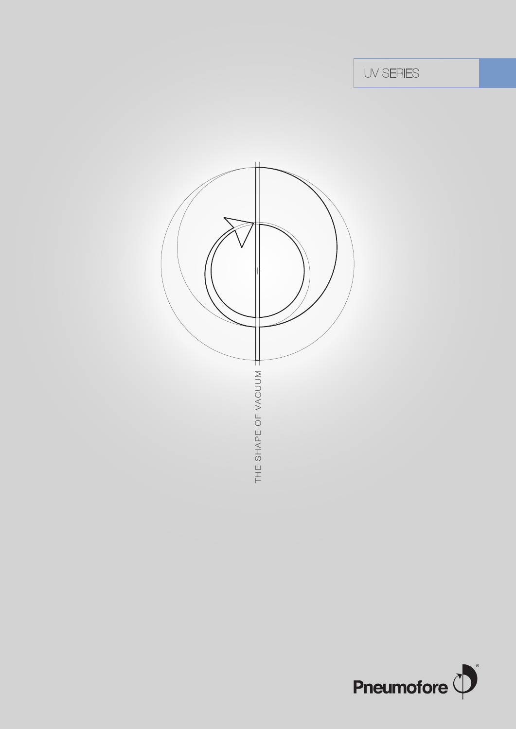UV SERIES



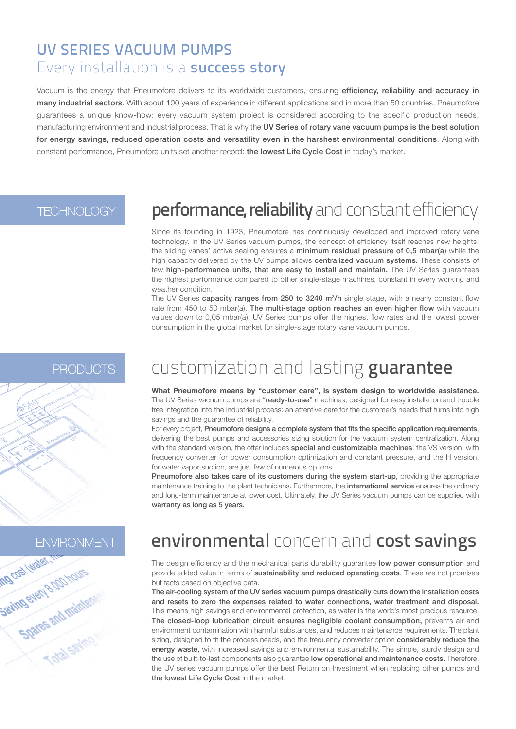#### UV SERIES VACUUM PUMPS Every installation is a success story

Vacuum is the energy that Pneumofore delivers to its worldwide customers, ensuring efficiency, reliability and accuracy in many industrial sectors. With about 100 years of experience in different applications and in more than 50 countries, Pneumofore guarantees a unique know-how: every vacuum system project is considered according to the specific production needs, manufacturing environment and industrial process. That is why the UV Series of rotary vane vacuum pumps is the best solution for energy savings, reduced operation costs and versatility even in the harshest environmental conditions. Along with constant performance. Pneumofore units set another record: the lowest Life Cycle Cost in today's market.

#### **TECHNOLOGY**

## performance, reliability and constant efficiency

Since its founding in 1923, Pneumofore has continuously developed and improved rotary vane technology. In the UV Series vacuum pumps, the concept of efficiency itself reaches new heights: the sliding vanes' active sealing ensures a minimum residual pressure of 0,5 mbar(a) while the high capacity delivered by the UV pumps allows centralized vacuum systems. These consists of few high-performance units, that are easy to install and maintain. The UV Series guarantees the highest performance compared to other single-stage machines, constant in every working and weather condition.

The UV Series capacity ranges from 250 to 3240 m<sup>3</sup>/h single stage, with a nearly constant flow rate from 450 to 50 mbar(a). The multi-stage option reaches an even higher flow with vacuum values down to 0,05 mbar(a). UV Series pumps offer the highest flow rates and the lowest power consumption in the global market for single-stage rotary vane vacuum pumps.

#### **PRODUCTS**

# customization and lasting guarantee

**What Pneumofore means by "customer care", is system design to worldwide assistance.** The UV Series vacuum pumps are "ready-to-use" machines, designed for easy installation and trouble free integration into the industrial process: an attentive care for the customer's needs that turns into high savings and the guarantee of reliability.

For every project, Pneumofore designs a complete system that fits the specific application requirements, delivering the best pumps and accessories sizing solution for the vacuum system centralization. Along with the standard version, the offer includes special and customizable machines: the VS version, with frequency converter for power consumption optimization and constant pressure, and the H version, for water vapor suction, are just few of numerous options.

Pneumofore also takes care of its customers during the system start-up, providing the appropriate maintenance training to the plant technicians. Furthermore, the international service ensures the ordinary and long-term maintenance at lower cost. Ultimately, the UV Series vacuum pumps can be supplied with warranty as long as 5 years.



## environmental concern and cost savings

The design efficiency and the mechanical parts durability guarantee low power consumption and provide added value in terms of sustainability and reduced operating costs. These are not promises but facts based on objective data.

The air-cooling system of the UV series vacuum pumps drastically cuts down the installation costs and resets to zero the expenses related to water connections, water treatment and disposal. This means high savings and environmental protection, as water is the world's most precious resource. The closed-loop lubrication circuit ensures negligible coolant consumption, prevents air and environment contamination with harmful substances, and reduces maintenance requirements. The plant sizing, designed to fit the process needs, and the frequency converter option considerably reduce the energy waste, with increased savings and environmental sustainability. The simple, sturdy design and the use of built-to-last components also quarantee low operational and maintenance costs. Therefore, the UV series vacuum pumps offer the best Return on Investment when replacing other pumps and the lowest Life Cycle Cost in the market.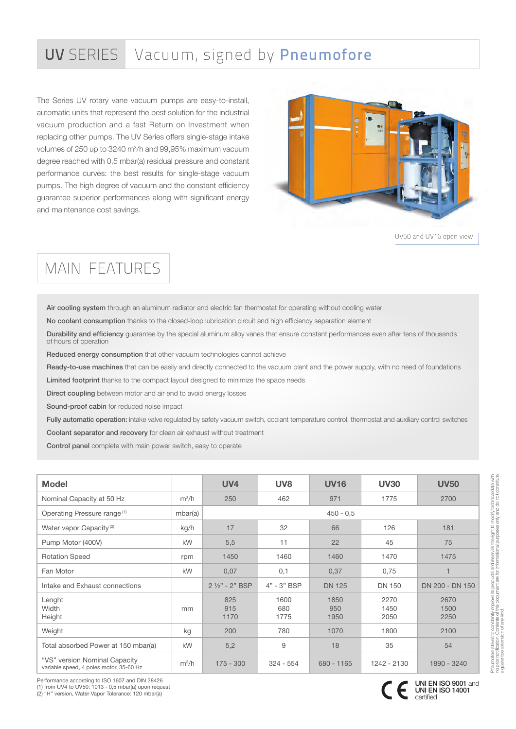### UV SERIES Vacuum, signed by Pneumofore

The Series UV rotary vane vacuum pumps are easy-to-install, automatic units that represent the best solution for the industrial vacuum production and a fast Return on Investment when replacing other pumps. The UV Series offers single-stage intake volumes of 250 up to 3240 m3 /h and 99,95% maximum vacuum degree reached with 0,5 mbar(a) residual pressure and constant performance curves: the best results for single-stage vacuum pumps. The high degree of vacuum and the constant efficiency guarantee superior performances along with significant energy and maintenance cost savings.



UV50 and UV16 open view

#### MAIN FEATURES

Air cooling system through an aluminum radiator and electric fan thermostat for operating without cooling water

No coolant consumption thanks to the closed-loop lubrication circuit and high efficiency separation element

Durability and efficiency guarantee by the special aluminum alloy vanes that ensure constant performances even after tens of thousands of hours of operation

Reduced energy consumption that other vacuum technologies cannot achieve

Ready-to-use machines that can be easily and directly connected to the vacuum plant and the power supply, with no need of foundations

Limited footprint thanks to the compact layout designed to minimize the space needs

Direct coupling between motor and air end to avoid energy losses

Sound-proof cabin for reduced noise impact

Fully automatic operation: intake valve regulated by safety vacuum switch, coolant temperature control, thermostat and auxiliary control switches Coolant separator and recovery for clean air exhaust without treatment

Control panel complete with main power switch, easy to operate

| <b>Model</b>                                                             |         | <b>UV4</b>         | UV <sub>8</sub>     | <b>UV16</b>         | <b>UV30</b>          | <b>UV50</b>          |
|--------------------------------------------------------------------------|---------|--------------------|---------------------|---------------------|----------------------|----------------------|
| Nominal Capacity at 50 Hz                                                | $m^3/h$ | 250                | 462                 | 971                 | 1775                 | 2700                 |
| Operating Pressure range <sup>(1)</sup>                                  | mbar(a) | $450 - 0.5$        |                     |                     |                      |                      |
| Water vapor Capacity <sup>(2)</sup>                                      | kg/h    | 17                 | 32                  | 66                  | 126                  | 181                  |
| Pump Motor (400V)                                                        | kW      | 5,5                | 11                  | 22                  | 45                   | 75                   |
| <b>Rotation Speed</b>                                                    | rpm     | 1450               | 1460                | 1460                | 1470                 | 1475                 |
| Fan Motor                                                                | kW      | 0,07               | 0,1                 | 0,37                | 0,75                 |                      |
| Intake and Exhaust connections                                           |         | 2 1/2" - 2" BSP    | 4" - 3" BSP         | <b>DN 125</b>       | <b>DN 150</b>        | DN 200 - DN 150      |
| Lenght<br>Width<br>Height                                                | mm      | 825<br>915<br>1170 | 1600<br>680<br>1775 | 1850<br>950<br>1950 | 2270<br>1450<br>2050 | 2670<br>1500<br>2250 |
| Weight                                                                   | kg      | 200                | 780                 | 1070                | 1800                 | 2100                 |
| Total absorbed Power at 150 mbar(a)                                      | kW      | 5,2                | 9                   | 18                  | 35                   | 54                   |
| "VS" version Nominal Capacity<br>variable speed, 4 poles motor, 35-60 Hz | $m^3/h$ | $175 - 300$        | $324 - 554$         | $680 - 1165$        | 1242 - 2130          | 1890 - 3240          |

Performance according to ISO 1607 and DIN 28426 (1) from UV4 to UV50: 1013 - 0,5 mbar(a) upon request (2) "H" version, Water Vapor Tolerance: 120 mbar(a)



UNI EN ISO 9001 and UNI EN ISO 14001

certified

a guarantee extension of any kind.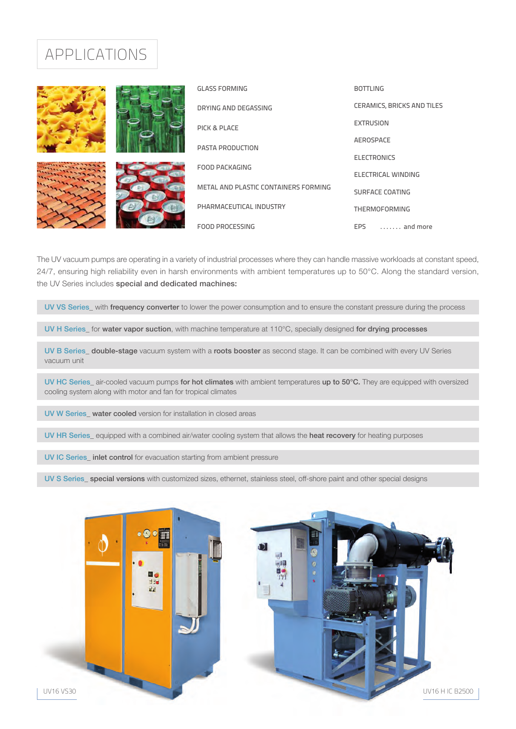#### APPLICATIONS



The UV vacuum pumps are operating in a variety of industrial processes where they can handle massive workloads at constant speed,  $24/7$ , ensuring high reliability even in harsh environments with ambient temperatures up to  $50^{\circ}$ C. Along the standard version, the UV Series includes special and dedicated machines:

UV VS Series\_ with frequency converter to lower the power consumption and to ensure the constant pressure during the process

UV H Series\_ for water vapor suction, with machine temperature at 110°C, specially designed for drying processes

UV B Series\_ double-stage vacuum system with a roots booster as second stage. It can be combined with every UV Series vacuum unit

UV HC Series\_ air-cooled vacuum pumps for hot climates with ambient temperatures up to 50°C. They are equipped with oversized cooling system along with motor and fan for tropical climates

UV W Series\_ water cooled version for installation in closed areas

UV HR Series\_equipped with a combined air/water cooling system that allows the heat recovery for heating purposes

UV IC Series\_ inlet control for evacuation starting from ambient pressure

UV S Series special versions with customized sizes, ethernet, stainless steel, off-shore paint and other special designs



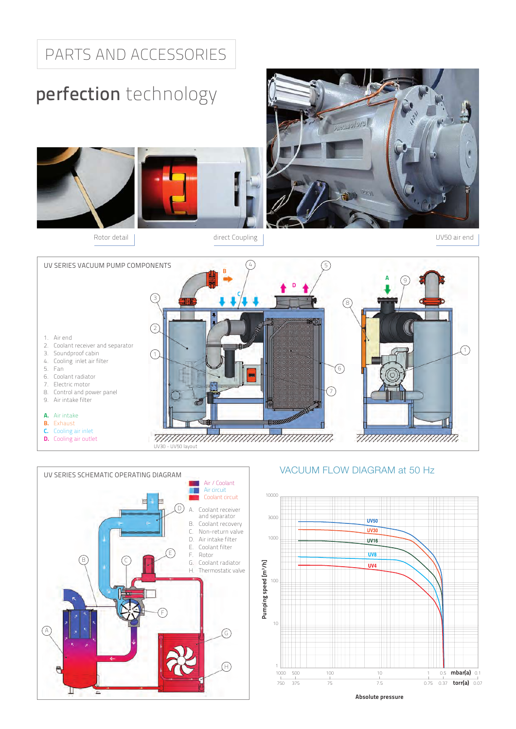### PARTS AND ACCESSORIES

# perfection technology









#### VACUUM FLOW DIAGRAM at 50 Hz



Absolute pressure